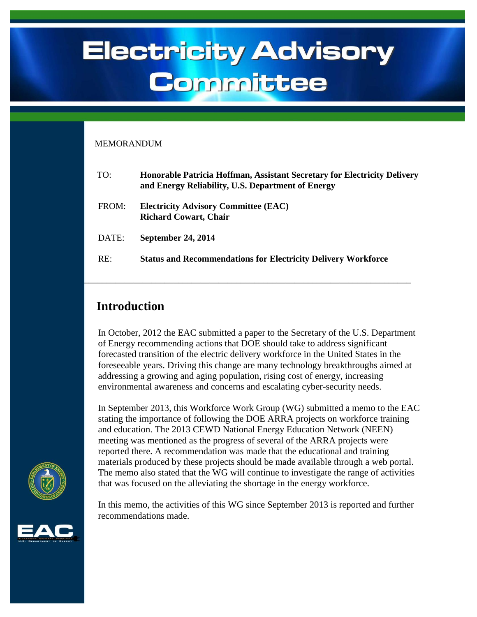# **Electricity Advisory** Committee

#### MEMORANDUM

| TO:   | Honorable Patricia Hoffman, Assistant Secretary for Electricity Delivery<br>and Energy Reliability, U.S. Department of Energy |
|-------|-------------------------------------------------------------------------------------------------------------------------------|
| FROM: | <b>Electricity Advisory Committee (EAC)</b><br><b>Richard Cowart, Chair</b>                                                   |
| DATE: | <b>September 24, 2014</b>                                                                                                     |
| RE:   | <b>Status and Recommendations for Electricity Delivery Workforce</b>                                                          |

\_\_\_\_\_\_\_\_\_\_\_\_\_\_\_\_\_\_\_\_\_\_\_\_\_\_\_\_\_\_\_\_\_\_\_\_\_\_\_\_\_\_\_\_\_\_\_\_\_\_\_\_\_\_\_\_\_\_\_\_\_\_\_\_\_\_\_\_\_\_\_\_\_

#### **Introduction**

I

In October, 2012 the EAC submitted a paper to the Secretary of the U.S. Department of Energy recommending actions that DOE should take to address significant forecasted transition of the electric delivery workforce in the United States in the foreseeable years. Driving this change are many technology breakthroughs aimed at addressing a growing and aging population, rising cost of energy, increasing environmental awareness and concerns and escalating cyber-security needs.

In September 2013, this Workforce Work Group (WG) submitted a memo to the EAC stating the importance of following the DOE ARRA projects on workforce training and education. The 2013 CEWD National Energy Education Network (NEEN) meeting was mentioned as the progress of several of the ARRA projects were reported there. A recommendation was made that the educational and training materials produced by these projects should be made available through a web portal. The memo also stated that the WG will continue to investigate the range of activities that was focused on the alleviating the shortage in the energy workforce.

In this memo, the activities of this WG since September 2013 is reported and further recommendations made.



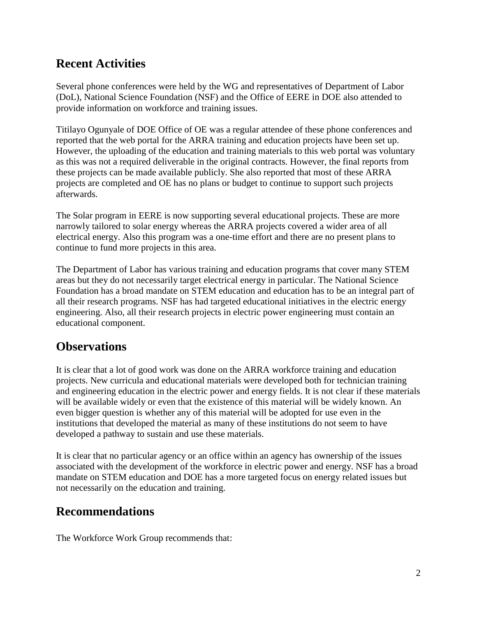## **Recent Activities**

Several phone conferences were held by the WG and representatives of Department of Labor (DoL), National Science Foundation (NSF) and the Office of EERE in DOE also attended to provide information on workforce and training issues.

Titilayo Ogunyale of DOE Office of OE was a regular attendee of these phone conferences and reported that the web portal for the ARRA training and education projects have been set up. However, the uploading of the education and training materials to this web portal was voluntary as this was not a required deliverable in the original contracts. However, the final reports from these projects can be made available publicly. She also reported that most of these ARRA projects are completed and OE has no plans or budget to continue to support such projects afterwards.

The Solar program in EERE is now supporting several educational projects. These are more narrowly tailored to solar energy whereas the ARRA projects covered a wider area of all electrical energy. Also this program was a one-time effort and there are no present plans to continue to fund more projects in this area.

The Department of Labor has various training and education programs that cover many STEM areas but they do not necessarily target electrical energy in particular. The National Science Foundation has a broad mandate on STEM education and education has to be an integral part of all their research programs. NSF has had targeted educational initiatives in the electric energy engineering. Also, all their research projects in electric power engineering must contain an educational component.

## **Observations**

It is clear that a lot of good work was done on the ARRA workforce training and education projects. New curricula and educational materials were developed both for technician training and engineering education in the electric power and energy fields. It is not clear if these materials will be available widely or even that the existence of this material will be widely known. An even bigger question is whether any of this material will be adopted for use even in the institutions that developed the material as many of these institutions do not seem to have developed a pathway to sustain and use these materials.

It is clear that no particular agency or an office within an agency has ownership of the issues associated with the development of the workforce in electric power and energy. NSF has a broad mandate on STEM education and DOE has a more targeted focus on energy related issues but not necessarily on the education and training.

## **Recommendations**

The Workforce Work Group recommends that: